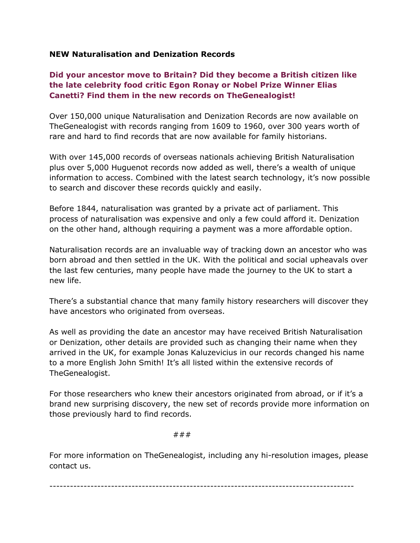#### **NEW Naturalisation and Denization Records**

# **Did your ancestor move to Britain? Did they become a British citizen like the late celebrity food critic Egon Ronay or Nobel Prize Winner Elias Canetti? Find them in the new records on TheGenealogist!**

Over 150,000 unique Naturalisation and Denization Records are now available on TheGenealogist with records ranging from 1609 to 1960, over 300 years worth of rare and hard to find records that are now available for family historians.

With over 145,000 records of overseas nationals achieving British Naturalisation plus over 5,000 Huguenot records now added as well, there's a wealth of unique information to access. Combined with the latest search technology, it's now possible to search and discover these records quickly and easily.

Before 1844, naturalisation was granted by a private act of parliament. This process of naturalisation was expensive and only a few could afford it. Denization on the other hand, although requiring a payment was a more affordable option.

Naturalisation records are an invaluable way of tracking down an ancestor who was born abroad and then settled in the UK. With the political and social upheavals over the last few centuries, many people have made the journey to the UK to start a new life.

There's a substantial chance that many family history researchers will discover they have ancestors who originated from overseas.

As well as providing the date an ancestor may have received British Naturalisation or Denization, other details are provided such as changing their name when they arrived in the UK, for example Jonas Kaluzevicius in our records changed his name to a more English John Smith! It's all listed within the extensive records of TheGenealogist.

For those researchers who knew their ancestors originated from abroad, or if it's a brand new surprising discovery, the new set of records provide more information on those previously hard to find records.

###

For more information on TheGenealogist, including any hi-resolution images, please contact us.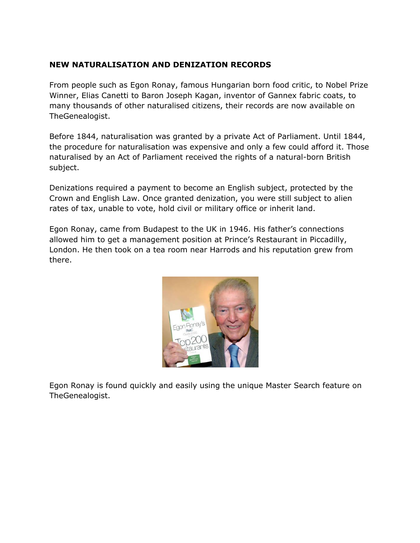# **NEW NATURALISATION AND DENIZATION RECORDS**

From people such as Egon Ronay, famous Hungarian born food critic, to Nobel Prize Winner, Elias Canetti to Baron Joseph Kagan, inventor of Gannex fabric coats, to many thousands of other naturalised citizens, their records are now available on TheGenealogist.

Before 1844, naturalisation was granted by a private Act of Parliament. Until 1844, the procedure for naturalisation was expensive and only a few could afford it. Those naturalised by an Act of Parliament received the rights of a natural-born British subject.

Denizations required a payment to become an English subject, protected by the Crown and English Law. Once granted denization, you were still subject to alien rates of tax, unable to vote, hold civil or military office or inherit land.

Egon Ronay, came from Budapest to the UK in 1946. His father's connections allowed him to get a management position at Prince's Restaurant in Piccadilly, London. He then took on a tea room near Harrods and his reputation grew from there.



Egon Ronay is found quickly and easily using the unique Master Search feature on TheGenealogist.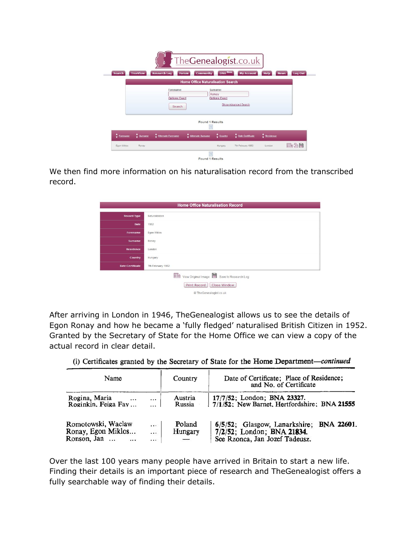|                               |                 |                                     | The Genealogist.co.uk                    |                                            |                                  |                            |         |
|-------------------------------|-----------------|-------------------------------------|------------------------------------------|--------------------------------------------|----------------------------------|----------------------------|---------|
| <b>Search</b>                 | <b>TreeView</b> | <b>Research Log</b><br><b>Forum</b> | <b>Community</b>                         | <b>DNA</b> New                             | <b>My Account</b>                | <b>Help</b><br><b>News</b> | Log Out |
|                               |                 |                                     | <b>Home Office Naturalisation Search</b> |                                            |                                  |                            |         |
|                               |                 | Forename:<br><b>Options: Exact</b>  |                                          | Surname:<br>Ronay<br><b>Options: Exact</b> |                                  |                            |         |
|                               |                 | Search                              |                                          |                                            | Show Advanced Search             |                            |         |
|                               |                 |                                     | <b>Found 1 Results</b>                   |                                            |                                  |                            |         |
| $\frac{A}{\sqrt{2}}$ Forename | $4$ Surname     | ≜<br><b>Alternate Forename</b>      | Alternate Surname                        | $rac{4}{2}$ Country                        | $\frac{4}{\pi}$ Date Certificate | $R$ esidence               |         |
| Egon Miklos                   | Ronay           |                                     |                                          | Hungary                                    | 7th February 1952                | London                     | 的公用     |
|                               |                 |                                     | <b>Found 1 Results</b>                   |                                            |                                  |                            |         |

We then find more information on his naturalisation record from the transcribed record.

| <b>Home Office Naturalisation Record</b> |                                                                                                    |  |  |  |
|------------------------------------------|----------------------------------------------------------------------------------------------------|--|--|--|
| <b>Record Type</b>                       | Naturalization                                                                                     |  |  |  |
| Date                                     | 1952                                                                                               |  |  |  |
| Forename                                 | Egon Miklos                                                                                        |  |  |  |
| Surname                                  | Ronay                                                                                              |  |  |  |
| <b>Residence</b>                         | London                                                                                             |  |  |  |
| Country                                  | Hungary                                                                                            |  |  |  |
| <b>Date Certificate</b>                  | 7th February 1952                                                                                  |  |  |  |
|                                          | View Original Image Save to Research Log<br>Print Record<br>Close Window<br>© TheGenealogist.co.uk |  |  |  |

After arriving in London in 1946, TheGenealogist allows us to see the details of Egon Ronay and how he became a 'fully fledged' naturalised British Citizen in 1952. Granted by the Secretary of State for the Home Office we can view a copy of the actual record in clear detail.

| Name                                                        |                          | Country           | Date of Certificate; Place of Residence;<br>and No. of Certificate                                          |
|-------------------------------------------------------------|--------------------------|-------------------|-------------------------------------------------------------------------------------------------------------|
| Rogina, Maria<br>$\cdots$<br>Roginkin, Feiga Fay            | $\cdots$                 | Austria<br>Russia | 17/7/52; London; BNA 23327.<br>$7/1/52$ ; New Barnet, Hertfordshire; BNA 21555                              |
| Romotowski, Waclaw<br>Ronay, Egon Miklos<br>Ronson, Jan<br> | $\cdots$<br>$\cdots$<br> | Poland<br>Hungary | 6/5/52; Glasgow, Lanarkshire;<br>BNA 22601.<br>7/2/52; London; BNA 21834.<br>See Rzonca, Jan Jozef Tadeusz. |

(i) Certificates granted by the Secretary of State for the Home Department-continued

Over the last 100 years many people have arrived in Britain to start a new life. Finding their details is an important piece of research and TheGenealogist offers a fully searchable way of finding their details.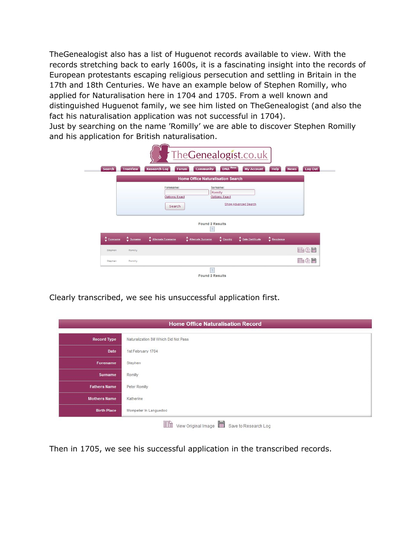TheGenealogist also has a list of Huguenot records available to view. With the records stretching back to early 1600s, it is a fascinating insight into the records of European protestants escaping religious persecution and settling in Britain in the 17th and 18th Centuries. We have an example below of Stephen Romilly, who applied for Naturalisation here in 1704 and 1705. From a well known and distinguished Huguenot family, we see him listed on TheGenealogist (and also the fact his naturalisation application was not successful in 1704).

Just by searching on the name 'Romilly' we are able to discover Stephen Romilly and his application for British naturalisation.

| <b>Search</b>          | <b>TreeView</b>          | <b>Research Log</b><br><b>Forum</b> | <b>DNA</b> New<br>Community                  | <b>My Account</b>    | <b>Help</b>  | Log Out<br><b>News</b> |
|------------------------|--------------------------|-------------------------------------|----------------------------------------------|----------------------|--------------|------------------------|
|                        |                          |                                     | <b>Home Office Naturalisation Search</b>     |                      |              |                        |
|                        |                          | Forename:<br><b>Options: Exact</b>  | Surname:<br>Romilly<br><b>Options: Exact</b> |                      |              |                        |
|                        |                          | Search                              |                                              | Show Advanced Search |              |                        |
|                        |                          |                                     | <b>Found 2 Results</b>                       |                      |              |                        |
|                        | $rac{4}{5}$ Surname<br>۵ | <b>Alternate Forename</b>           | Alternate Surname<br>$\frac{4}{7}$ Country   | Date Certificate     | $R$ esidence |                        |
| $\frac{4}{7}$ Forename |                          |                                     |                                              |                      |              | 而含日                    |
| Stephen                | Romilly                  |                                     |                                              |                      |              |                        |

Clearly transcribed, we see his unsuccessful application first.

|                     | <b>Home Office Naturalisation Record</b>              |  |  |  |
|---------------------|-------------------------------------------------------|--|--|--|
| <b>Record Type</b>  | Naturalization Bill Which Did Not Pass                |  |  |  |
| Date                | 1st February 1704                                     |  |  |  |
| Forename            | Stephen                                               |  |  |  |
| Surname             | Romilly                                               |  |  |  |
| <b>Fathers Name</b> | Peter Romilly                                         |  |  |  |
| <b>Mothers Name</b> | Katherine                                             |  |  |  |
| <b>Birth Place</b>  | Mompelier In Languedoc                                |  |  |  |
|                     | h<br>E<br>View Original Image<br>Save to Research Log |  |  |  |

Then in 1705, we see his successful application in the transcribed records.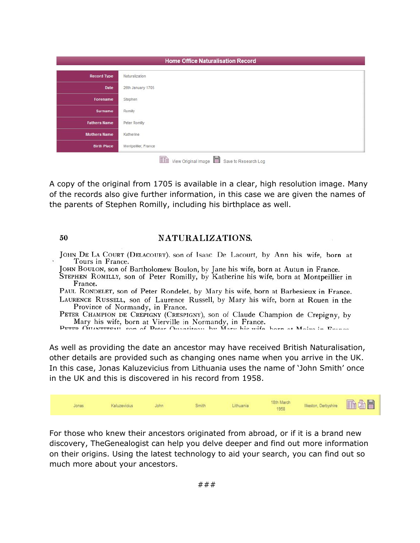|                     | <b>Home Office Naturalisation Record</b> |  |  |
|---------------------|------------------------------------------|--|--|
| <b>Record Type</b>  | Naturalization                           |  |  |
| Date                | 26th January 1705                        |  |  |
| Forename            | Stephen                                  |  |  |
| Surname             | Romilly                                  |  |  |
| <b>Fathers Name</b> | Peter Romilly                            |  |  |
| <b>Mothers Name</b> | Katherine                                |  |  |
| <b>Birth Place</b>  | Montpeillier, France                     |  |  |
|                     | $\equiv$<br><b>HILLEN</b>                |  |  |

View Original Image I Save to Research Log

A copy of the original from 1705 is available in a clear, high resolution image. Many of the records also give further information, in this case we are given the names of the parents of Stephen Romilly, including his birthplace as well.

#### 50

### NATURALIZATIONS.

- JOHN DE LA COURT (DELACOURT), son of Isaac De Lacourt, by Ann his wife, born at Tours in France.
- JOHN BOULON, son of Bartholomew Boulon, by Jane his wife, born at Autun in France. STEPHEN ROMILLY, son of Peter Romilly, by Katherine his wife, born at Montpeillier in France.

PAUL RONDELET, son of Peter Rondelet, by Mary his wife, born at Barbesieux in France. LAURENCE RUSSELL, son of Laurence Russell, by Mary his wife, born at Rouen in the Province of Normandy, in France.

PETER CHAMPION DE CREPIGNY (CRESPIGNY), son of Claude Champion de Crepigny, by Mary his wife, born at Vierville in Normandy, in France.

PETED OILANTITEAIL con of Patar Ouantitaau by Mary his wife harn at Moira in Deanon

As well as providing the date an ancestor may have received British Naturalisation, other details are provided such as changing ones name when you arrive in the UK. In this case, Jonas Kaluzevicius from Lithuania uses the name of 'John Smith' once in the UK and this is discovered in his record from 1958.



For those who knew their ancestors originated from abroad, or if it is a brand new discovery, TheGenealogist can help you delve deeper and find out more information on their origins. Using the latest technology to aid your search, you can find out so much more about your ancestors.